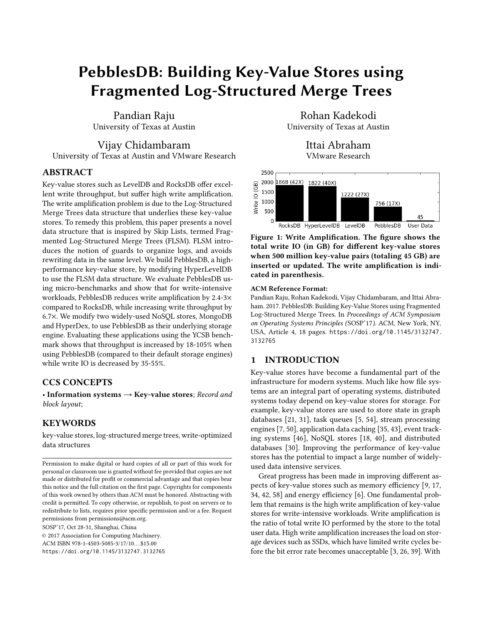# PebblesDB: Building Key-Value Stores using Fragmented Log-Structured Merge Trees

Pandian Raju University of Texas at Austin

Vijay Chidambaram

University of Texas at Austin and VMware Research

# ABSTRACT

Key-value stores such as LevelDB and RocksDB offer excellent write throughput, but suffer high write amplification. The write amplification problem is due to the Log-Structured Merge Trees data structure that underlies these key-value stores. To remedy this problem, this paper presents a novel data structure that is inspired by Skip Lists, termed Fragmented Log-Structured Merge Trees (FLSM). FLSM introduces the notion of guards to organize logs, and avoids rewriting data in the same level. We build PebblesDB, a highperformance key-value store, by modifying HyperLevelDB to use the FLSM data structure. We evaluate PebblesDB using micro-benchmarks and show that for write-intensive workloads, PebblesDB reduces write amplification by 2.4-3× compared to RocksDB, while increasing write throughput by 6.7×. We modify two widely-used NoSQL stores, MongoDB and HyperDex, to use PebblesDB as their underlying storage engine. Evaluating these applications using the YCSB benchmark shows that throughput is increased by 18-105% when using PebblesDB (compared to their default storage engines) while write IO is decreased by 35-55%.

# CCS CONCEPTS

• Information systems  $\rightarrow$  Key-value stores; Record and block layout;

# **KEYWORDS**

key-value stores, log-structured merge trees, write-optimized data structures

SOSP'17, Oct 28-31, Shanghai, China

Rohan Kadekodi University of Texas at Austin

> Ittai Abraham VMware Research

<span id="page-0-0"></span>

Figure 1: Write Amplification. The figure shows the total write IO (in GB) for different key-value stores when 500 million key-value pairs (totaling 45 GB) are inserted or updated. The write amplification is indicated in parenthesis.

#### ACM Reference Format:

Pandian Raju, Rohan Kadekodi, Vijay Chidambaram, and Ittai Abraham. 2017. PebblesDB: Building Key-Value Stores using Fragmented Log-Structured Merge Trees. In Proceedings of ACM Symposium on Operating Systems Principles (SOSP'17). ACM, New York, NY, USA, Article 4, [18](#page-17-0) pages. [https://doi.org/10.1145/3132747.](https://doi.org/10.1145/3132747.3132765) [3132765](https://doi.org/10.1145/3132747.3132765)

# 1 INTRODUCTION

Key-value stores have become a fundamental part of the infrastructure for modern systems. Much like how file systems are an integral part of operating systems, distributed systems today depend on key-value stores for storage. For example, key-value stores are used to store state in graph databases [\[21,](#page-16-0) [31\]](#page-16-1), task queues [\[5,](#page-16-2) [54\]](#page-17-1), stream processing engines [\[7,](#page-16-3) [50\]](#page-17-2), application data caching [\[35,](#page-16-4) [43\]](#page-17-3), event tracking systems [\[46\]](#page-17-4), NoSQL stores [\[18,](#page-16-5) [40\]](#page-16-6), and distributed databases [\[30\]](#page-16-7). Improving the performance of key-value stores has the potential to impact a large number of widelyused data intensive services.

Great progress has been made in improving different aspects of key-value stores such as memory efficiency [\[9,](#page-16-8) [17,](#page-16-9) [34,](#page-16-10) [42,](#page-17-5) [58\]](#page-17-6) and energy efficiency [\[6\]](#page-16-11). One fundamental problem that remains is the high write amplification of key-value stores for write-intensive workloads. Write amplification is the ratio of total write IO performed by the store to the total user data. High write amplification increases the load on storage devices such as SSDs, which have limited write cycles before the bit error rate becomes unacceptable [\[3,](#page-16-12) [26,](#page-16-13) [39\]](#page-16-14). With

Permission to make digital or hard copies of all or part of this work for personal or classroom use is granted without fee provided that copies are not made or distributed for profit or commercial advantage and that copies bear this notice and the full citation on the first page. Copyrights for components of this work owned by others than ACM must be honored. Abstracting with credit is permitted. To copy otherwise, or republish, to post on servers or to redistribute to lists, requires prior specific permission and/or a fee. Request permissions from permissions@acm.org.

<sup>©</sup> 2017 Association for Computing Machinery. ACM ISBN 978-1-4503-5085-3/17/10...\$15.00 <https://doi.org/10.1145/3132747.3132765>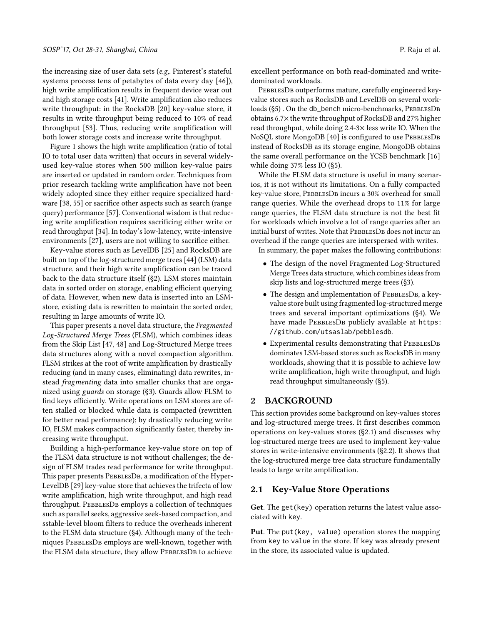the increasing size of user data sets (e.g,. Pinterest's stateful systems process tens of petabytes of data every day [\[46\]](#page-17-4)), high write amplification results in frequent device wear out and high storage costs [\[41\]](#page-16-15). Write amplification also reduces write throughput: in the RocksDB [\[20\]](#page-16-16) key-value store, it results in write throughput being reduced to 10% of read throughput [\[53\]](#page-17-7). Thus, reducing write amplification will both lower storage costs and increase write throughput.

Figure [1](#page-0-0) shows the high write amplification (ratio of total IO to total user data written) that occurs in several widelyused key-value stores when 500 million key-value pairs are inserted or updated in random order. Techniques from prior research tackling write amplification have not been widely adopted since they either require specialized hardware [\[38,](#page-16-17) [55\]](#page-17-8) or sacrifice other aspects such as search (range query) performance [\[57\]](#page-17-9). Conventional wisdom is that reducing write amplification requires sacrificing either write or read throughput [\[34\]](#page-16-10). In today's low-latency, write-intensive environments [\[27\]](#page-16-18), users are not willing to sacrifice either.

Key-value stores such as LevelDB [\[25\]](#page-16-19) and RocksDB are built on top of the log-structured merge trees [\[44\]](#page-17-10) (LSM) data structure, and their high write amplification can be traced back to the data structure itself [\(§2\)](#page-1-0). LSM stores maintain data in sorted order on storage, enabling efficient querying of data. However, when new data is inserted into an LSMstore, existing data is rewritten to maintain the sorted order, resulting in large amounts of write IO.

This paper presents a novel data structure, the Fragmented Log-Structured Merge Trees (FLSM), which combines ideas from the Skip List [\[47,](#page-17-11) [48\]](#page-17-12) and Log-Structured Merge trees data structures along with a novel compaction algorithm. FLSM strikes at the root of write amplification by drastically reducing (and in many cases, eliminating) data rewrites, instead fragmenting data into smaller chunks that are organized using guards on storage [\(§3\)](#page-3-0). Guards allow FLSM to find keys efficiently. Write operations on LSM stores are often stalled or blocked while data is compacted (rewritten for better read performance); by drastically reducing write IO, FLSM makes compaction significantly faster, thereby increasing write throughput.

Building a high-performance key-value store on top of the FLSM data structure is not without challenges; the design of FLSM trades read performance for write throughput. This paper presents PEBBLESDB, a modification of the Hyper-LevelDB [\[29\]](#page-16-20) key-value store that achieves the trifecta of low write amplification, high write throughput, and high read throughput. PEBBLESDB employs a collection of techniques such as parallel seeks, aggressive seek-based compaction, and sstable-level bloom filters to reduce the overheads inherent to the FLSM data structure [\(§4\)](#page-6-0). Although many of the techniques PEBBLESDB employs are well-known, together with the FLSM data structure, they allow PEBBLESDB to achieve

excellent performance on both read-dominated and writedominated workloads.

PEBBLESDB outperforms mature, carefully engineered keyvalue stores such as RocksDB and LevelDB on several work-loads [\(§5\)](#page-8-0). On the db\_bench micro-benchmarks, PEBBLESDB obtains 6.7× the write throughput of RocksDB and 27% higher read throughput, while doing 2.4-3× less write IO. When the NoSQL store MongoDB [\[40\]](#page-16-6) is configured to use PEBBLESDB instead of RocksDB as its storage engine, MongoDB obtains the same overall performance on the YCSB benchmark [\[16\]](#page-16-21) while doing 37% less IO [\(§5\)](#page-8-0).

While the FLSM data structure is useful in many scenarios, it is not without its limitations. On a fully compacted key-value store, PEBBLESDB incurs a 30% overhead for small range queries. While the overhead drops to 11% for large range queries, the FLSM data structure is not the best fit for workloads which involve a lot of range queries after an initial burst of writes. Note that PEBBLESDB does not incur an overhead if the range queries are interspersed with writes.

In summary, the paper makes the following contributions:

- The design of the novel Fragmented Log-Structured Merge Trees data structure, which combines ideas from skip lists and log-structured merge trees [\(§3\)](#page-3-0).
- The design and implementation of PEBBLESDB, a keyvalue store built using fragmented log-structured merge trees and several important optimizations [\(§4\)](#page-6-0). We have made PEBBLESDB publicly available at [https:](https://github.com/utsaslab/pebblesdb) [//github.com/utsaslab/pebblesdb](https://github.com/utsaslab/pebblesdb).
- Experimental results demonstrating that PEBBLESDB dominates LSM-based stores such as RocksDB in many workloads, showing that it is possible to achieve low write amplification, high write throughput, and high read throughput simultaneously [\(§5\)](#page-8-0).

#### <span id="page-1-0"></span>2 BACKGROUND

This section provides some background on key-values stores and log-structured merge trees. It first describes common operations on key-values stores [\(§2.1\)](#page-1-1) and discusses why log-structured merge trees are used to implement key-value stores in write-intensive environments [\(§2.2\)](#page-2-0). It shows that the log-structured merge tree data structure fundamentally leads to large write amplification.

# <span id="page-1-1"></span>2.1 Key-Value Store Operations

Get. The get(key) operation returns the latest value associated with key.

Put. The put(key, value) operation stores the mapping from key to value in the store. If key was already present in the store, its associated value is updated.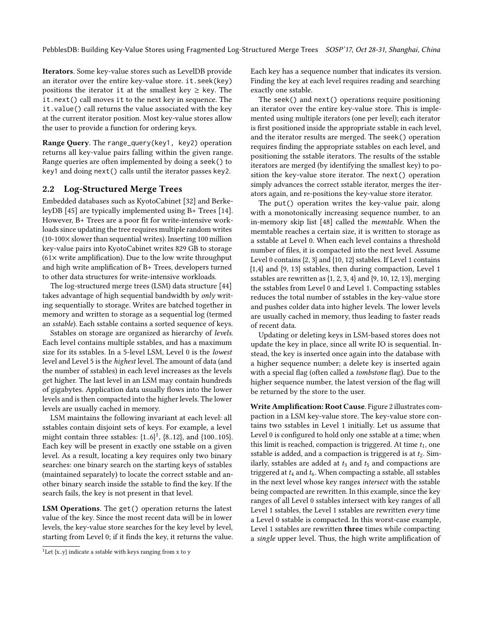Iterators. Some key-value stores such as LevelDB provide an iterator over the entire key-value store. it.seek(key) positions the iterator it at the smallest key  $\geq$  key. The it.next() call moves it to the next key in sequence. The it.value() call returns the value associated with the key at the current iterator position. Most key-value stores allow the user to provide a function for ordering keys.

Range Query. The range\_query(key1, key2) operation returns all key-value pairs falling within the given range. Range queries are often implemented by doing a seek() to key1 and doing next() calls until the iterator passes key2.

# <span id="page-2-0"></span>2.2 Log-Structured Merge Trees

Embedded databases such as KyotoCabinet [\[32\]](#page-16-22) and BerkeleyDB [\[45\]](#page-17-13) are typically implemented using B+ Trees [\[14\]](#page-16-23). However, B+ Trees are a poor fit for write-intensive workloads since updating the tree requires multiple random writes  $(10-100\times$  slower than sequential writes). Inserting 100 million key-value pairs into KyotoCabinet writes 829 GB to storage (61× write amplification). Due to the low write throughput and high write amplification of B+ Trees, developers turned to other data structures for write-intensive workloads.

The log-structured merge trees (LSM) data structure [\[44\]](#page-17-10) takes advantage of high sequential bandwidth by only writing sequentially to storage. Writes are batched together in memory and written to storage as a sequential log (termed an sstable). Each sstable contains a sorted sequence of keys.

Sstables on storage are organized as hierarchy of levels. Each level contains multiple sstables, and has a maximum size for its sstables. In a 5-level LSM, Level 0 is the lowest level and Level 5 is the highest level. The amount of data (and the number of sstables) in each level increases as the levels get higher. The last level in an LSM may contain hundreds of gigabytes. Application data usually flows into the lower levels and is then compacted into the higher levels. The lower levels are usually cached in memory.

LSM maintains the following invariant at each level: all sstables contain disjoint sets of keys. For example, a level might contain three sstables:  $\{1..6\}^1$  $\{1..6\}^1$  $\{1..6\}^1$ ,  $\{8..12\}$ , and  $\{100..105\}$ . Each key will be present in exactly one sstable on a given level. As a result, locating a key requires only two binary searches: one binary search on the starting keys of sstables (maintained separately) to locate the correct sstable and another binary search inside the sstable to find the key. If the search fails, the key is not present in that level.

LSM Operations. The get() operation returns the latest value of the key. Since the most recent data will be in lower levels, the key-value store searches for the key level by level, starting from Level 0; if it finds the key, it returns the value. Each key has a sequence number that indicates its version. Finding the key at each level requires reading and searching exactly one sstable.

The seek() and next() operations require positioning an iterator over the entire key-value store. This is implemented using multiple iterators (one per level); each iterator is first positioned inside the appropriate sstable in each level, and the iterator results are merged. The seek() operation requires finding the appropriate sstables on each level, and positioning the sstable iterators. The results of the sstable iterators are merged (by identifying the smallest key) to position the key-value store iterator. The next() operation simply advances the correct sstable iterator, merges the iterators again, and re-positions the key-value store iterator.

The put() operation writes the key-value pair, along with a monotonically increasing sequence number, to an in-memory skip list [\[48\]](#page-17-12) called the memtable. When the memtable reaches a certain size, it is written to storage as a sstable at Level 0. When each level contains a threshold number of files, it is compacted into the next level. Assume Level 0 contains {2, 3} and {10, 12} sstables. If Level 1 contains {1,4} and {9, 13} sstables, then during compaction, Level 1 sstables are rewritten as  $\{1, 2, 3, 4\}$  and  $\{9, 10, 12, 13\}$ , merging the sstables from Level 0 and Level 1. Compacting sstables reduces the total number of sstables in the key-value store and pushes colder data into higher levels. The lower levels are usually cached in memory, thus leading to faster reads of recent data.

Updating or deleting keys in LSM-based stores does not update the key in place, since all write IO is sequential. Instead, the key is inserted once again into the database with a higher sequence number; a delete key is inserted again with a special flag (often called a tombstone flag). Due to the higher sequence number, the latest version of the flag will be returned by the store to the user.

Write Amplification: Root Cause. Figure [2](#page-3-1) illustrates compaction in a LSM key-value store. The key-value store contains two sstables in Level 1 initially. Let us assume that Level 0 is configured to hold only one sstable at a time; when this limit is reached, compaction is triggered. At time  $t_1$ , one sstable is added, and a compaction is triggered is at  $t_2$ . Similarly, sstables are added at  $t_3$  and  $t_5$  and compactions are triggered at  $t_4$  and  $t_6$ . When compacting a sstable, all sstables in the next level whose key ranges intersect with the sstable being compacted are rewritten. In this example, since the key ranges of all Level 0 sstables intersect with key ranges of all Level 1 sstables, the Level 1 sstables are rewritten every time a Level 0 sstable is compacted. In this worst-case example, Level 1 sstables are rewritten three times while compacting a single upper level. Thus, the high write amplification of

<span id="page-2-1"></span><sup>&</sup>lt;sup>1</sup>Let {x..y} indicate a sstable with keys ranging from x to y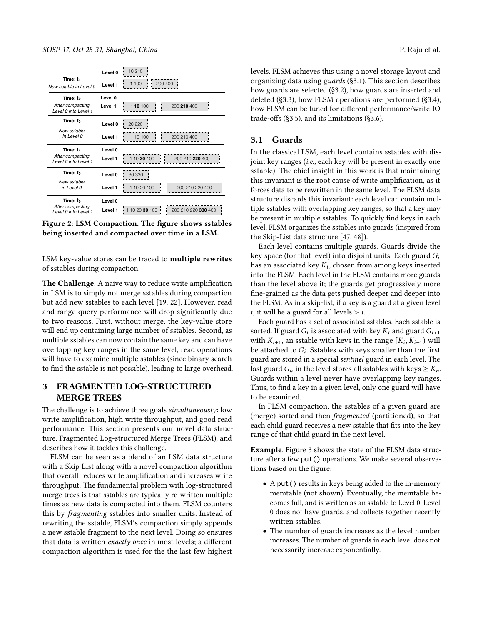<span id="page-3-1"></span>

| Time: t <sub>1</sub><br>New sstable in Level 0                   | Level 0<br>Level 1 | 10 210<br>1 100<br>200400                |  |  |
|------------------------------------------------------------------|--------------------|------------------------------------------|--|--|
| Time: $t_2$<br>After compacting<br>Level 0 into Level 1          | Level 0<br>Level 1 | 1 10 100<br>200 210 400                  |  |  |
| Time: ta<br>New sstable<br>in Level 0                            | Level 0<br>Level 1 | 20 220<br>1 10 100<br>200 210 400        |  |  |
| Time: ta<br>After compacting<br>Level 0 into Level 1             | Level 0<br>Level 1 | 1 10 20 100<br>200 210 220 400           |  |  |
| Time: ts<br>New sstable<br>in Level 0                            | Level 0<br>Level 1 | 30 330<br>1 10 20 100<br>200 210 220 400 |  |  |
| Time: t <sub>6</sub><br>After compacting<br>Level 0 into Level 1 | Level 0<br>Level 1 | 1102030100<br>200 210 220 330 400        |  |  |

Figure 2: LSM Compaction. The figure shows sstables being inserted and compacted over time in a LSM.

LSM key-value stores can be traced to multiple rewrites of sstables during compaction.

The Challenge. A naive way to reduce write amplification in LSM is to simply not merge sstables during compaction but add new sstables to each level [\[19,](#page-16-24) [22\]](#page-16-25). However, read and range query performance will drop significantly due to two reasons. First, without merge, the key-value store will end up containing large number of sstables. Second, as multiple sstables can now contain the same key and can have overlapping key ranges in the same level, read operations will have to examine multiple sstables (since binary search to find the sstable is not possible), leading to large overhead.

# <span id="page-3-0"></span>3 FRAGMENTED LOG-STRUCTURED MERGE TREES

The challenge is to achieve three goals simultaneously: low write amplification, high write throughput, and good read performance. This section presents our novel data structure, Fragmented Log-structured Merge Trees (FLSM), and describes how it tackles this challenge.

FLSM can be seen as a blend of an LSM data structure with a Skip List along with a novel compaction algorithm that overall reduces write amplification and increases write throughput. The fundamental problem with log-structured merge trees is that sstables are typically re-written multiple times as new data is compacted into them. FLSM counters this by fragmenting sstables into smaller units. Instead of rewriting the sstable, FLSM's compaction simply appends a new sstable fragment to the next level. Doing so ensures that data is written exactly once in most levels; a different compaction algorithm is used for the the last few highest

levels. FLSM achieves this using a novel storage layout and organizing data using guards [\(§3.1\)](#page-3-2). This section describes how guards are selected [\(§3.2\)](#page-4-0), how guards are inserted and deleted [\(§3.3\)](#page-4-1), how FLSM operations are performed [\(§3.4\)](#page-5-0), how FLSM can be tuned for different performance/write-IO trade-offs [\(§3.5\)](#page-5-1), and its limitations [\(§3.6\)](#page-6-1).

#### <span id="page-3-2"></span>3.1 Guards

In the classical LSM, each level contains sstables with disjoint key ranges (i.e., each key will be present in exactly one sstable). The chief insight in this work is that maintaining this invariant is the root cause of write amplification, as it forces data to be rewritten in the same level. The FLSM data structure discards this invariant: each level can contain multiple sstables with overlapping key ranges, so that a key may be present in multiple sstables. To quickly find keys in each level, FLSM organizes the sstables into guards (inspired from the Skip-List data structure [\[47,](#page-17-11) [48\]](#page-17-12)).

Each level contains multiple guards. Guards divide the key space (for that level) into disjoint units. Each guard  $G_i$ has an associated key  $K_i$ , chosen from among keys inserted<br>into the ELSM. Each level in the ELSM contains more guards into the FLSM. Each level in the FLSM contains more guards than the level above it; the guards get progressively more fine-grained as the data gets pushed deeper and deeper into the FLSM. As in a skip-list, if a key is a guard at a given level *i*, it will be a guard for all levels  $> i$ .

Each guard has a set of associated sstables. Each sstable is sorted. If guard  $G_i$  is associated with key  $K_i$  and guard  $G_{i+1}$ <br>with  $K_{i+1}$  an estable with keys in the range  $[K, K_{i+1}]$  will with  $K_{i+1}$ , an sstable with keys in the range  $[K_i, K_{i+1})$  will<br>be attached to G. Sstables with keys smaller than the first be attached to  $G_i$ . Sstables with keys smaller than the first quard are stored in a special sentinel quard in each level. The guard are stored in a special sentinel guard in each level. The last guard  $G_n$  in the level stores all sstables with keys  $\geq K_n$ . Guards within a level never have overlapping key ranges. Thus, to find a key in a given level, only one guard will have to be examined.

In FLSM compaction, the sstables of a given guard are (merge) sorted and then fragmented (partitioned), so that each child guard receives a new sstable that fits into the key range of that child guard in the next level.

Example. Figure [3](#page-4-2) shows the state of the FLSM data structure after a few put() operations. We make several observations based on the figure:

- A put() results in keys being added to the in-memory memtable (not shown). Eventually, the memtable becomes full, and is written as an sstable to Level 0. Level 0 does not have guards, and collects together recently written sstables.
- The number of guards increases as the level number increases. The number of guards in each level does not necessarily increase exponentially.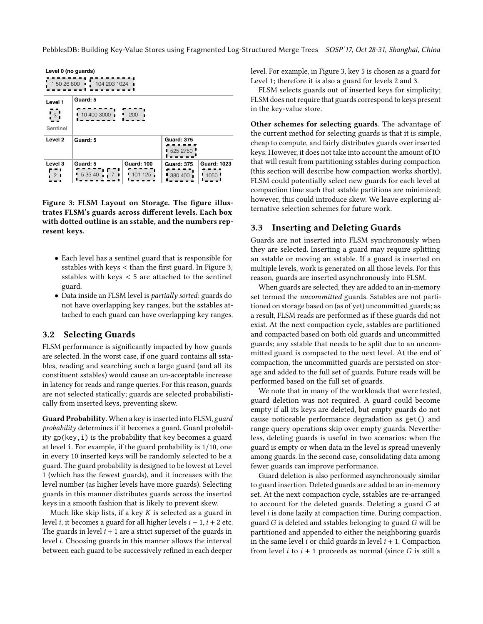<span id="page-4-2"></span>

| Level 0 (no quards)<br>15026800<br>1042031024 |                                                       |                             |                                |                            |
|-----------------------------------------------|-------------------------------------------------------|-----------------------------|--------------------------------|----------------------------|
| Level 1<br>$\frac{1}{3}$<br>Sentinel          | Guard: 5<br>$\blacksquare$ 10 400 3000 $\blacksquare$ | 200                         |                                |                            |
| Level <sub>2</sub>                            | Guard: 5                                              |                             | <b>Guard: 375</b><br>525 2750  |                            |
| Level 3<br>$\overline{2}$                     | Guard: 5<br>$53540$ 7                                 | <b>Guard: 100</b><br>101125 | <b>Guard: 375</b><br>380 400 . | <b>Guard: 1023</b><br>1050 |

Figure 3: FLSM Layout on Storage. The figure illustrates FLSM's guards across different levels. Each box with dotted outline is an sstable, and the numbers represent keys.

- Each level has a sentinel guard that is responsible for sstables with keys < than the first guard. In Figure [3,](#page-4-2) sstables with keys < 5 are attached to the sentinel guard.
- Data inside an FLSM level is partially sorted: guards do not have overlapping key ranges, but the sstables attached to each guard can have overlapping key ranges.

#### <span id="page-4-0"></span>3.2 Selecting Guards

FLSM performance is significantly impacted by how guards are selected. In the worst case, if one guard contains all sstables, reading and searching such a large guard (and all its constituent sstables) would cause an un-acceptable increase in latency for reads and range queries. For this reason, guards are not selected statically; guards are selected probabilistically from inserted keys, preventing skew.

Guard Probability. When a key is inserted into FLSM, guard probability determines if it becomes a guard. Guard probability gp(key,i) is the probability that key becomes a guard at level <sup>i</sup>. For example, if the guard probability is <sup>1</sup>/10, one in every 10 inserted keys will be randomly selected to be a guard. The guard probability is designed to be lowest at Level 1 (which has the fewest guards), and it increases with the level number (as higher levels have more guards). Selecting guards in this manner distributes guards across the inserted keys in a smooth fashion that is likely to prevent skew.

Much like skip lists, if a key  $K$  is selected as a guard in level *i*, it becomes a guard for all higher levels  $i + 1$ ,  $i + 2$  etc. The guards in level  $i + 1$  are a strict superset of the guards in level i. Choosing guards in this manner allows the interval between each guard to be successively refined in each deeper

level. For example, in Figure [3,](#page-4-2) key 5 is chosen as a guard for Level 1; therefore it is also a guard for levels 2 and 3.

FLSM selects guards out of inserted keys for simplicity; FLSM does not require that guards correspond to keys present in the key-value store.

Other schemes for selecting guards. The advantage of the current method for selecting guards is that it is simple, cheap to compute, and fairly distributes guards over inserted keys. However, it does not take into account the amount of IO that will result from partitioning sstables during compaction (this section will describe how compaction works shortly). FLSM could potentially select new guards for each level at compaction time such that sstable partitions are minimized; however, this could introduce skew. We leave exploring alternative selection schemes for future work.

# <span id="page-4-1"></span>3.3 Inserting and Deleting Guards

Guards are not inserted into FLSM synchronously when they are selected. Inserting a guard may require splitting an sstable or moving an sstable. If a guard is inserted on multiple levels, work is generated on all those levels. For this reason, guards are inserted asynchronously into FLSM.

When guards are selected, they are added to an in-memory set termed the uncommitted guards. Sstables are not partitioned on storage based on (as of yet) uncommitted guards; as a result, FLSM reads are performed as if these guards did not exist. At the next compaction cycle, sstables are partitioned and compacted based on both old guards and uncommitted guards; any sstable that needs to be split due to an uncommitted guard is compacted to the next level. At the end of compaction, the uncommitted guards are persisted on storage and added to the full set of guards. Future reads will be performed based on the full set of guards.

We note that in many of the workloads that were tested, guard deletion was not required. A guard could become empty if all its keys are deleted, but empty guards do not cause noticeable performance degradation as get() and range query operations skip over empty guards. Nevertheless, deleting guards is useful in two scenarios: when the guard is empty or when data in the level is spread unevenly among guards. In the second case, consolidating data among fewer guards can improve performance.

Guard deletion is also performed asynchronously similar to guard insertion. Deleted guards are added to an in-memory set. At the next compaction cycle, sstables are re-arranged to account for the deleted guards. Deleting a guard G at level i is done lazily at compaction time. During compaction, guard G is deleted and sstables belonging to guard G will be partitioned and appended to either the neighboring guards in the same level  $i$  or child guards in level  $i + 1$ . Compaction from level *i* to  $i + 1$  proceeds as normal (since G is still a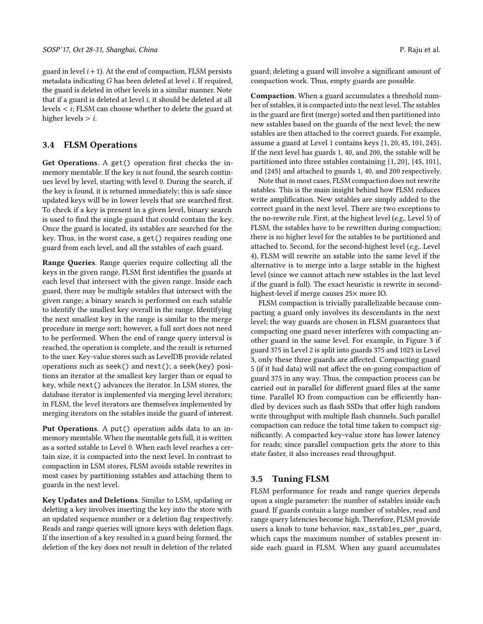guard in level  $i + 1$ ). At the end of compaction, FLSM persists metadata indicating G has been deleted at level i. If required, the guard is deleted in other levels in a similar manner. Note that if a guard is deleted at level  $i$ , it should be deleted at all levels < i; FLSM can choose whether to delete the guard at higher levels  $> i$ .

# <span id="page-5-0"></span>3.4 FLSM Operations

Get Operations. A get() operation first checks the inmemory memtable. If the key is not found, the search continues level by level, starting with level 0. During the search, if the key is found, it is returned immediately; this is safe since updated keys will be in lower levels that are searched first. To check if a key is present in a given level, binary search is used to find the single guard that could contain the key. Once the guard is located, its sstables are searched for the key. Thus, in the worst case, a get() requires reading one guard from each level, and all the sstables of each guard.

Range Queries. Range queries require collecting all the keys in the given range. FLSM first identifies the guards at each level that intersect with the given range. Inside each guard, there may be multiple sstables that intersect with the given range; a binary search is performed on each sstable to identify the smallest key overall in the range. Identifying the next smallest key in the range is similar to the merge procedure in merge sort; however, a full sort does not need to be performed. When the end of range query interval is reached, the operation is complete, and the result is returned to the user. Key-value stores such as LevelDB provide related operations such as seek() and next(); a seek(key) positions an iterator at the smallest key larger than or equal to key, while next() advances the iterator. In LSM stores, the database iterator is implemented via merging level iterators; in FLSM, the level iterators are themselves implemented by merging iterators on the sstables inside the guard of interest.

Put Operations. A put() operation adds data to an inmemory memtable. When the memtable gets full, it is written as a sorted sstable to Level 0. When each level reaches a certain size, it is compacted into the next level. In contrast to compaction in LSM stores, FLSM avoids sstable rewrites in most cases by partitioning sstables and attaching them to guards in the next level.

Key Updates and Deletions. Similar to LSM, updating or deleting a key involves inserting the key into the store with an updated sequence number or a deletion flag respectively. Reads and range queries will ignore keys with deletion flags. If the insertion of a key resulted in a guard being formed, the deletion of the key does not result in deletion of the related

guard; deleting a guard will involve a significant amount of compaction work. Thus, empty guards are possible.

Compaction. When a guard accumulates a threshold number of sstables, it is compacted into the next level. The sstables in the guard are first (merge) sorted and then partitioned into new sstables based on the guards of the next level; the new sstables are then attached to the correct guards. For example, assume a guard at Level 1 contains keys {1, <sup>20</sup>, <sup>45</sup>, <sup>101</sup>, <sup>245</sup>}. If the next level has guards 1, 40, and 200, the sstable will be partitioned into three sstables containing {1, <sup>20</sup>}, {45, <sup>101</sup>}, and {245} and attached to guards 1, 40, and 200 respectively.

Note that in most cases, FLSM compaction does not rewrite sstables. This is the main insight behind how FLSM reduces write amplification. New sstables are simply added to the correct guard in the next level. There are two exceptions to the no-rewrite rule. First, at the highest level (e.g,. Level 5) of FLSM, the sstables have to be rewritten during compaction; there is no higher level for the sstables to be partitioned and attached to. Second, for the second-highest level (e.g,. Level 4), FLSM will rewrite an sstable into the same level if the alternative is to merge into a large sstable in the highest level (since we cannot attach new sstables in the last level if the guard is full). The exact heuristic is rewrite in secondhighest-level if merge causes 25× more IO.

FLSM compaction is trivially parallelizable because compacting a guard only involves its descendants in the next level; the way guards are chosen in FLSM guarantees that compacting one guard never interferes with compacting another guard in the same level. For example, in Figure [3](#page-4-2) if guard 375 in Level 2 is split into guards 375 and 1023 in Level 3, only these three guards are affected. Compacting guard 5 (if it had data) will not affect the on-going compaction of guard 375 in any way. Thus, the compaction process can be carried out in parallel for different guard files at the same time. Parallel IO from compaction can be efficiently handled by devices such as flash SSDs that offer high random write throughput with multiple flash channels. Such parallel compaction can reduce the total time taken to compact significantly. A compacted key-value store has lower latency for reads; since parallel compaction gets the store to this state faster, it also increases read throughput.

## <span id="page-5-1"></span>3.5 Tuning FLSM

FLSM performance for reads and range queries depends upon a single parameter: the number of sstables inside each guard. If guards contain a large number of sstables, read and range query latencies become high. Therefore, FLSM provide users a knob to tune behavior, max\_sstables\_per\_guard, which caps the maximum number of sstables present inside each guard in FLSM. When any guard accumulates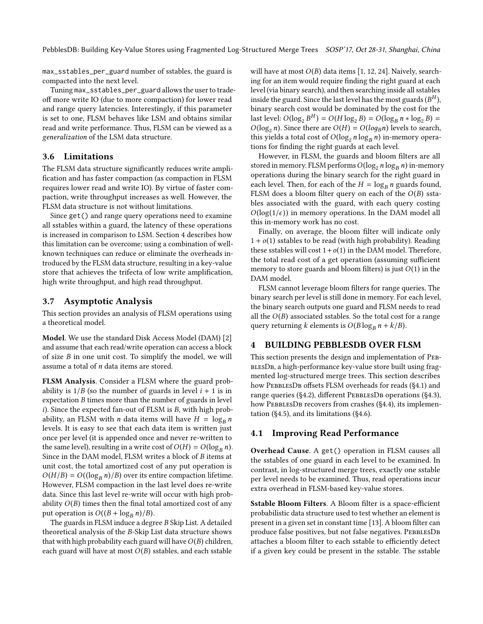max\_sstables\_per\_guard number of sstables, the guard is compacted into the next level.

Tuning max\_sstables\_per\_guard allows the user to tradeoff more write IO (due to more compaction) for lower read and range query latencies. Interestingly, if this parameter is set to one, FLSM behaves like LSM and obtains similar read and write performance. Thus, FLSM can be viewed as a generalization of the LSM data structure.

#### <span id="page-6-1"></span>3.6 Limitations

The FLSM data structure significantly reduces write amplification and has faster compaction (as compaction in FLSM requires lower read and write IO). By virtue of faster compaction, write throughput increases as well. However, the FLSM data structure is not without limitations.

Since get() and range query operations need to examine all sstables within a guard, the latency of these operations is increased in comparison to LSM. Section [4](#page-6-0) describes how this limitation can be overcome; using a combination of wellknown techniques can reduce or eliminate the overheads introduced by the FLSM data structure, resulting in a key-value store that achieves the trifecta of low write amplification, high write throughput, and high read throughput.

#### 3.7 Asymptotic Analysis

This section provides an analysis of FLSM operations using a theoretical model.

Model. We use the standard Disk Access Model (DAM) [\[2\]](#page-16-26) and assume that each read/write operation can access a block of size  $B$  in one unit cost. To simplify the model, we will assume a total of  $n$  data items are stored.

FLSM Analysis. Consider a FLSM where the guard probability is  $1/B$  (so the number of guards in level  $i + 1$  is in expectation B times more than the number of guards in level i). Since the expected fan-out of FLSM is B, with high probability, an FLSM with *n* data items will have  $H = \log_B n$ n levels. It is easy to see that each data item is written just once per level (it is appended once and never re-written to the same level), resulting in a write cost of  $O(H) = O(\log_B n)$ .<br>Since in the DAM model, ELSM writes a block of B items at Since in the DAM model, FLSM writes a block of B items at unit cost, the total amortized cost of any put operation is  $O(H/B) = O((\log_B n)/B)$  over its entire compaction lifetime.<br>However, ELSM compaction in the last level does re-write However, FLSM compaction in the last level does re-write data. Since this last level re-write will occur with high probability  $O(B)$  times then the final total amortized cost of any put operation is  $O((B + \log_B n)/B)$ .<br>The guards in ELSM induce a degree

The guards in FLSM induce a degree B Skip List. A detailed theoretical analysis of the B-Skip List data structure shows that with high probability each guard will have  $O(B)$  children, each guard will have at most  $O(B)$  sstables, and each sstable

will have at most  $O(B)$  data items [\[1,](#page-16-27) [12,](#page-16-28) [24\]](#page-16-29). Naively, searching for an item would require finding the right guard at each level (via binary search), and then searching inside all sstables inside the guard. Since the last level has the most guards  $(B<sup>H</sup>)$ ,<br>binary search cost would be dominated by the cost for the binary search cost would be dominated by the cost for the last level:  $O(log_2 B^H) = O(H \log_2 B) = O(log_B n * log_2 B) = O(log_B n)$ <br> $O(log_B n)$ . Since there are  $O(H) = O(log_B n)$  levels to search  $O(\log_2 n)$ . Since there are  $O(H) = O(log_B n)$  levels to search,<br>this vields a total cost of  $O(log_B n)$  in memory operathis yields a total cost of  $O(\log_2 n \log_B n)$  in-memory operations for finding the right guards at each level tions for finding the right guards at each level.

However, in FLSM, the guards and bloom filters are all stored in memory. FLSM performs  $O(\log_2 n \log_B n)$  in-memory<br>operations during the binary search for the right guard in operations during the binary search for the right guard in each level. Then, for each of the  $H = \log_B n$  guards found,<br>ELSM does a bloom filter query on each of the  $O(B)$  sta-FLSM does a bloom filter query on each of the  $O(B)$  sstables associated with the guard, with each query costing  $O(log(1/\epsilon))$  in memory operations. In the DAM model all this in-memory work has no cost.

Finally, on average, the bloom filter will indicate only  $1 + o(1)$  sstables to be read (with high probability). Reading these sstables will cost  $1+o(1)$  in the DAM model. Therefore, the total read cost of a get operation (assuming sufficient memory to store guards and bloom filters) is just  $O(1)$  in the DAM model.

FLSM cannot leverage bloom filters for range queries. The binary search per level is still done in memory. For each level, the binary search outputs one guard and FLSM needs to read all the  $O(B)$  associated sstables. So the total cost for a range query returning  $k$  elements is  $O(B \log_B n + k/B)$ .

#### <span id="page-6-0"></span>4 BUILDING PEBBLESDB OVER FLSM

This section presents the design and implementation of Peb-BLESDB, a high-performance key-value store built using fragmented log-structured merge trees. This section describes how PEBBLESDB offsets FLSM overheads for reads [\(§4.1\)](#page-6-2) and range queries [\(§4.2\)](#page-7-0), different PEBBLESDB operations [\(§4.3\)](#page-7-1), how PEBBLESDB recovers from crashes [\(§4.4\)](#page-7-2), its implementation [\(§4.5\)](#page-7-3), and its limitations [\(§4.6\)](#page-8-1).

# <span id="page-6-2"></span>4.1 Improving Read Performance

Overhead Cause. A get() operation in FLSM causes all the sstables of one guard in each level to be examined. In contrast, in log-structured merge trees, exactly one sstable per level needs to be examined. Thus, read operations incur extra overhead in FLSM-based key-value stores.

Sstable Bloom Filters. A Bloom filter is a space-efficient probabilistic data structure used to test whether an element is present in a given set in constant time [\[13\]](#page-16-30). A bloom filter can produce false positives, but not false negatives. PEBBLESDB attaches a bloom filter to each sstable to efficiently detect if a given key could be present in the sstable. The sstable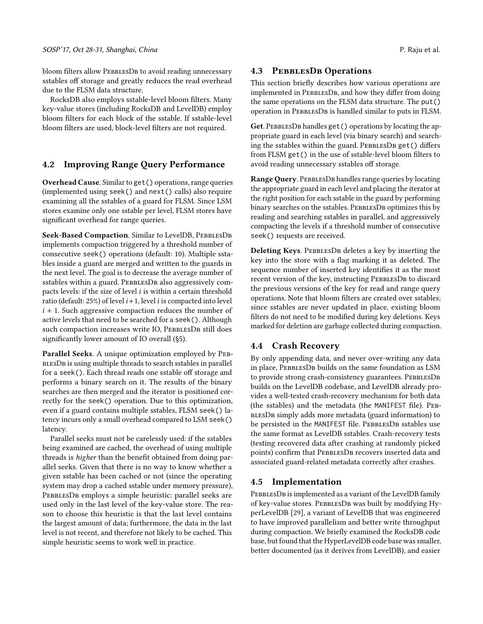bloom filters allow PEBBLESDB to avoid reading unnecessary sstables off storage and greatly reduces the read overhead due to the FLSM data structure.

RocksDB also employs sstable-level bloom filters. Many key-value stores (including RocksDB and LevelDB) employ bloom filters for each block of the sstable. If sstable-level bloom filters are used, block-level filters are not required.

# <span id="page-7-0"></span>4.2 Improving Range Query Performance

Overhead Cause. Similar to get() operations, range queries (implemented using seek() and next() calls) also require examining all the sstables of a guard for FLSM. Since LSM stores examine only one sstable per level, FLSM stores have significant overhead for range queries.

Seek-Based Compaction. Similar to LevelDB, PEBBLESDB implements compaction triggered by a threshold number of consecutive seek() operations (default: 10). Multiple sstables inside a guard are merged and written to the guards in the next level. The goal is to decrease the average number of sstables within a guard. PEBBLESDB also aggressively compacts levels: if the size of level  $i$  is within a certain threshold ratio (default: 25%) of level  $i+1$ , level  $i$  is compacted into level  $i + 1$ . Such aggressive compaction reduces the number of active levels that need to be searched for a seek(). Although such compaction increases write IO, PEBBLESDB still does significantly lower amount of IO overall [\(§5\)](#page-8-0).

Parallel Seeks. A unique optimization employed by PEB-BLESDB is using multiple threads to search sstables in parallel for a seek(). Each thread reads one sstable off storage and performs a binary search on it. The results of the binary searches are then merged and the iterator is positioned correctly for the seek() operation. Due to this optimization, even if a guard contains multiple sstables, FLSM seek() latency incurs only a small overhead compared to LSM seek() latency.

Parallel seeks must not be carelessly used: if the sstables being examined are cached, the overhead of using multiple threads is higher than the benefit obtained from doing parallel seeks. Given that there is no way to know whether a given sstable has been cached or not (since the operating system may drop a cached sstable under memory pressure), PEBBLESDB employs a simple heuristic: parallel seeks are used only in the last level of the key-value store. The reason to choose this heuristic is that the last level contains the largest amount of data; furthermore, the data in the last level is not recent, and therefore not likely to be cached. This simple heuristic seems to work well in practice.

#### <span id="page-7-1"></span>4.3 PEBBLESDB Operations

This section briefly describes how various operations are implemented in PEBBLESDB, and how they differ from doing the same operations on the FLSM data structure. The put() operation in PEBBLESDB is handled similar to puts in FLSM.

Get. PEBBLESDB handles get() operations by locating the appropriate guard in each level (via binary search) and searching the sstables within the guard. PEBBLESDB get() differs from FLSM get() in the use of sstable-level bloom filters to avoid reading unnecessary sstables off storage.

Range Query. PEBBLESDB handles range queries by locating the appropriate guard in each level and placing the iterator at the right position for each sstable in the guard by performing binary searches on the sstables. PEBBLESDB optimizes this by reading and searching sstables in parallel, and aggressively compacting the levels if a threshold number of consecutive seek() requests are received.

Deleting Keys. PEBBLESDB deletes a key by inserting the key into the store with a flag marking it as deleted. The sequence number of inserted key identifies it as the most recent version of the key, instructing PEBBLESDB to discard the previous versions of the key for read and range query operations. Note that bloom filters are created over sstables; since sstables are never updated in place, existing bloom filters do not need to be modified during key deletions. Keys marked for deletion are garbage collected during compaction.

# <span id="page-7-2"></span>4.4 Crash Recovery

By only appending data, and never over-writing any data in place, PEBBLESDB builds on the same foundation as LSM to provide strong crash-consistency guarantees. PEBBLESDB builds on the LevelDB codebase, and LevelDB already provides a well-tested crash-recovery mechanism for both data (the sstables) and the metadata (the MANIFEST file). PebblesDb simply adds more metadata (guard information) to be persisted in the MANIFEST file. PEBBLESDB sstables use the same format as LevelDB sstables. Crash-recovery tests (testing recovered data after crashing at randomly picked points) confirm that PEBBLESDB recovers inserted data and associated guard-related metadata correctly after crashes.

#### <span id="page-7-3"></span>4.5 Implementation

PEBBLESDB is implemented as a variant of the LevelDB family of key-value stores. PEBBLESDB was built by modifying HyperLevelDB [\[29\]](#page-16-20), a variant of LevelDB that was engineered to have improved parallelism and better write throughput during compaction. We briefly examined the RocksDB code base, but found that the HyperLevelDB code base was smaller, better documented (as it derives from LevelDB), and easier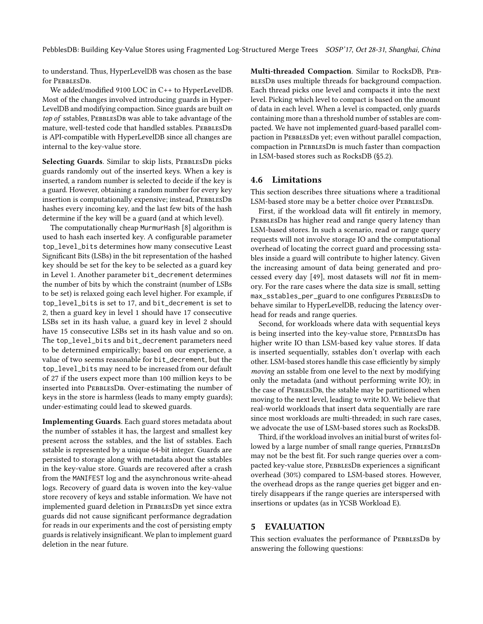to understand. Thus, HyperLevelDB was chosen as the base for PEBBLESDB.

We added/modified 9100 LOC in C++ to HyperLevelDB. Most of the changes involved introducing guards in Hyper-LevelDB and modifying compaction. Since guards are built on top of sstables, PEBBLESDB was able to take advantage of the mature, well-tested code that handled sstables. PEBBLESDB is API-compatible with HyperLevelDB since all changes are internal to the key-value store.

Selecting Guards. Similar to skip lists, PEBBLESDB picks guards randomly out of the inserted keys. When a key is inserted, a random number is selected to decide if the key is a guard. However, obtaining a random number for every key insertion is computationally expensive; instead, PEBBLESDB hashes every incoming key, and the last few bits of the hash determine if the key will be a guard (and at which level).

The computationally cheap MurmurHash [\[8\]](#page-16-31) algorithm is used to hash each inserted key. A configurable parameter top\_level\_bits determines how many consecutive Least Significant Bits (LSBs) in the bit representation of the hashed key should be set for the key to be selected as a guard key in Level 1. Another parameter bit\_decrement determines the number of bits by which the constraint (number of LSBs to be set) is relaxed going each level higher. For example, if top\_level\_bits is set to 17, and bit\_decrement is set to 2, then a guard key in level 1 should have 17 consecutive LSBs set in its hash value, a guard key in level 2 should have 15 consecutive LSBs set in its hash value and so on. The top\_level\_bits and bit\_decrement parameters need to be determined empirically; based on our experience, a value of two seems reasonable for bit\_decrement, but the top\_level\_bits may need to be increased from our default of 27 if the users expect more than 100 million keys to be inserted into PEBBLESDB. Over-estimating the number of keys in the store is harmless (leads to many empty guards); under-estimating could lead to skewed guards.

Implementing Guards. Each guard stores metadata about the number of sstables it has, the largest and smallest key present across the sstables, and the list of sstables. Each sstable is represented by a unique 64-bit integer. Guards are persisted to storage along with metadata about the sstables in the key-value store. Guards are recovered after a crash from the MANIFEST log and the asynchronous write-ahead logs. Recovery of guard data is woven into the key-value store recovery of keys and sstable information. We have not implemented guard deletion in PEBBLESDB yet since extra guards did not cause significant performance degradation for reads in our experiments and the cost of persisting empty guards is relatively insignificant. We plan to implement guard deletion in the near future.

Multi-threaded Compaction. Similar to RocksDB, Peb-BLESDB uses multiple threads for background compaction. Each thread picks one level and compacts it into the next level. Picking which level to compact is based on the amount of data in each level. When a level is compacted, only guards containing more than a threshold number of sstables are compacted. We have not implemented guard-based parallel compaction in PEBBLESDB yet; even without parallel compaction, compaction in PEBBLESDB is much faster than compaction in LSM-based stores such as RocksDB [\(§5.2\)](#page-9-0).

# <span id="page-8-1"></span>4.6 Limitations

This section describes three situations where a traditional LSM-based store may be a better choice over PEBBLESDB.

First, if the workload data will fit entirely in memory, PEBBLESDB has higher read and range query latency than LSM-based stores. In such a scenario, read or range query requests will not involve storage IO and the computational overhead of locating the correct guard and processing sstables inside a guard will contribute to higher latency. Given the increasing amount of data being generated and processed every day [\[49\]](#page-17-14), most datasets will not fit in memory. For the rare cases where the data size is small, setting max\_sstables\_per\_guard to one configures PEBBLESDB to behave similar to HyperLevelDB, reducing the latency overhead for reads and range queries.

Second, for workloads where data with sequential keys is being inserted into the key-value store, PEBBLESDB has higher write IO than LSM-based key value stores. If data is inserted sequentially, sstables don't overlap with each other. LSM-based stores handle this case efficiently by simply moving an sstable from one level to the next by modifying only the metadata (and without performing write IO); in the case of PEBBLESDB, the sstable may be partitioned when moving to the next level, leading to write IO. We believe that real-world workloads that insert data sequentially are rare since most workloads are multi-threaded; in such rare cases, we advocate the use of LSM-based stores such as RocksDB.

Third, if the workload involves an initial burst of writes followed by a large number of small range queries, PEBBLESDB may not be the best fit. For such range queries over a compacted key-value store, PEBBLESDB experiences a significant overhead (30%) compared to LSM-based stores. However, the overhead drops as the range queries get bigger and entirely disappears if the range queries are interspersed with insertions or updates (as in YCSB Workload E).

#### <span id="page-8-0"></span>5 EVALUATION

This section evaluates the performance of PEBBLESDB by answering the following questions: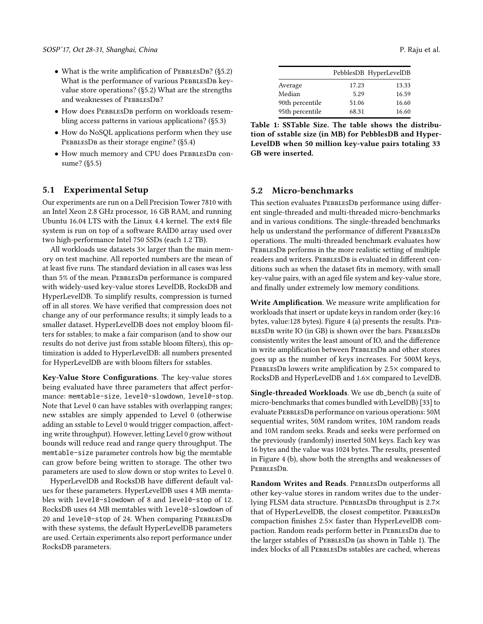- What is the write amplification of PEBBLESDB? ( $\S$ 5.2) What is the performance of various PEBBLESDB keyvalue store operations? [\(§5.2\)](#page-9-0) What are the strengths and weaknesses of PEBBLESDB?
- How does PEBBLESDB perform on workloads resembling access patterns in various applications? [\(§5.3\)](#page-13-0)
- How do NoSQL applications perform when they use PEBBLESDB as their storage engine? [\(§5.4\)](#page-13-1)
- How much memory and CPU does PEBBLESDB consume? [\(§5.5\)](#page-14-0)

# 5.1 Experimental Setup

Our experiments are run on a Dell Precision Tower 7810 with an Intel Xeon 2.8 GHz processor, 16 GB RAM, and running Ubuntu 16.04 LTS with the Linux 4.4 kernel. The ext4 file system is run on top of a software RAID0 array used over two high-performance Intel 750 SSDs (each 1.2 TB).

All workloads use datasets  $3\times$  larger than the main memory on test machine. All reported numbers are the mean of at least five runs. The standard deviation in all cases was less than 5% of the mean. PEBBLESDB performance is compared with widely-used key-value stores LevelDB, RocksDB and HyperLevelDB. To simplify results, compression is turned off in all stores. We have verified that compression does not change any of our performance results; it simply leads to a smaller dataset. HyperLevelDB does not employ bloom filters for sstables; to make a fair comparison (and to show our results do not derive just from sstable bloom filters), this optimization is added to HyperLevelDB: all numbers presented for HyperLevelDB are with bloom filters for sstables.

Key-Value Store Configurations. The key-value stores being evaluated have three parameters that affect performance: memtable-size, level0-slowdown, level0-stop. Note that Level 0 can have sstables with overlapping ranges; new sstables are simply appended to Level 0 (otherwise adding an sstable to Level 0 would trigger compaction, affecting write throughput). However, letting Level 0 grow without bounds will reduce read and range query throughput. The memtable-size parameter controls how big the memtable can grow before being written to storage. The other two parameters are used to slow down or stop writes to Level 0.

HyperLevelDB and RocksDB have different default values for these parameters. HyperLevelDB uses 4 MB memtables with level0-slowdown of 8 and level0-stop of 12. RocksDB uses 64 MB memtables with level0-slowdown of 20 and level0-stop of 24. When comparing PEBBLESDB with these systems, the default HyperLevelDB parameters are used. Certain experiments also report performance under RocksDB parameters.

<span id="page-9-1"></span>

|                 |       | PebblesDB HyperLevelDB |
|-----------------|-------|------------------------|
| Average         | 17.23 | 13.33                  |
| Median          | 5.29  | 16.59                  |
| 90th percentile | 51.06 | 16.60                  |
| 95th percentile | 68.31 | 16.60                  |

Table 1: SSTable Size. The table shows the distribution of sstable size (in MB) for PebblesDB and Hyper-LevelDB when 50 million key-value pairs totaling 33 GB were inserted.

# <span id="page-9-0"></span>5.2 Micro-benchmarks

This section evaluates PEBBLESDB performance using different single-threaded and multi-threaded micro-benchmarks and in various conditions. The single-threaded benchmarks help us understand the performance of different PEBBLESDB operations. The multi-threaded benchmark evaluates how PEBBLESDB performs in the more realistic setting of multiple readers and writers. PEBBLESDB is evaluated in different conditions such as when the dataset fits in memory, with small key-value pairs, with an aged file system and key-value store, and finally under extremely low memory conditions.

Write Amplification. We measure write amplification for workloads that insert or update keys in random order (key:16 bytes, value:128 bytes). Figure [4](#page-10-0) (a) presents the results. Peb- $BLESDB$  write IO (in GB) is shown over the bars. PEBBLESDB consistently writes the least amount of IO, and the difference in write amplification between PEBBLESDB and other stores goes up as the number of keys increases. For 500M keys, PEBBLESDB lowers write amplification by 2.5× compared to RocksDB and HyperLevelDB and 1.6× compared to LevelDB.

Single-threaded Workloads. We use db\_bench (a suite of micro-benchmarks that comes bundled with LevelDB) [\[33\]](#page-16-32) to evaluate PEBBLESDB performance on various operations: 50M sequential writes, 50M random writes, 10M random reads and 10M random seeks. Reads and seeks were performed on the previously (randomly) inserted 50M keys. Each key was 16 bytes and the value was 1024 bytes. The results, presented in Figure [4](#page-10-0) (b), show both the strengths and weaknesses of PEBBLESDB.

Random Writes and Reads. PEBBLESDB outperforms all other key-value stores in random writes due to the underlying FLSM data structure. PEBBLESDB throughput is 2.7× that of HyperLevelDB, the closest competitor. PEBBLESDB compaction finishes 2.5× faster than HyperLevelDB compaction. Random reads perform better in PEBBLESDB due to the larger sstables of PEBBLESDB (as shown in Table [1\)](#page-9-1). The index blocks of all PEBBLESDB sstables are cached, whereas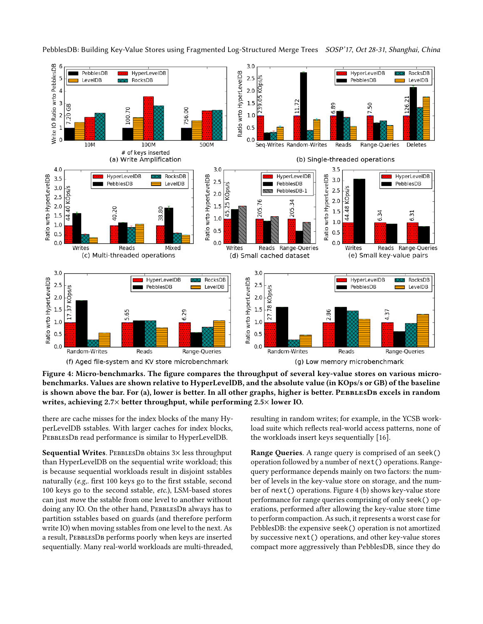<span id="page-10-0"></span>

PebblesDB: Building Key-Value Stores using Fragmented Log-Structured Merge Trees SOSP'17, Oct 28-31, Shanghai, China

Figure 4: Micro-benchmarks. The figure compares the throughput of several key-value stores on various microbenchmarks. Values are shown relative to HyperLevelDB, and the absolute value (in KOps/s or GB) of the baseline is shown above the bar. For (a), lower is better. In all other graphs, higher is better. PEBBLESDB excels in random writes, achieving 2.7× better throughput, while performing 2.5× lower IO.

there are cache misses for the index blocks of the many HyperLevelDB sstables. With larger caches for index blocks, PEBBLESDB read performance is similar to HyperLevelDB.

Sequential Writes. PEBBLESDB obtains  $3\times$  less throughput than HyperLevelDB on the sequential write workload; this is because sequential workloads result in disjoint sstables naturally (e.g,. first 100 keys go to the first sstable, second 100 keys go to the second sstable, etc.), LSM-based stores can just move the sstable from one level to another without doing any IO. On the other hand, PEBBLESDB always has to partition sstables based on guards (and therefore perform write IO) when moving sstables from one level to the next. As a result, PEBBLESDB performs poorly when keys are inserted sequentially. Many real-world workloads are multi-threaded,

resulting in random writes; for example, in the YCSB workload suite which reflects real-world access patterns, none of the workloads insert keys sequentially [\[16\]](#page-16-21).

Range Queries. A range query is comprised of an seek() operation followed by a number of next() operations. Rangequery performance depends mainly on two factors: the number of levels in the key-value store on storage, and the number of next() operations. Figure [4](#page-10-0) (b) shows key-value store performance for range queries comprising of only seek() operations, performed after allowing the key-value store time to perform compaction. As such, it represents a worst case for PebblesDB: the expensive seek() operation is not amortized by successive next() operations, and other key-value stores compact more aggressively than PebblesDB, since they do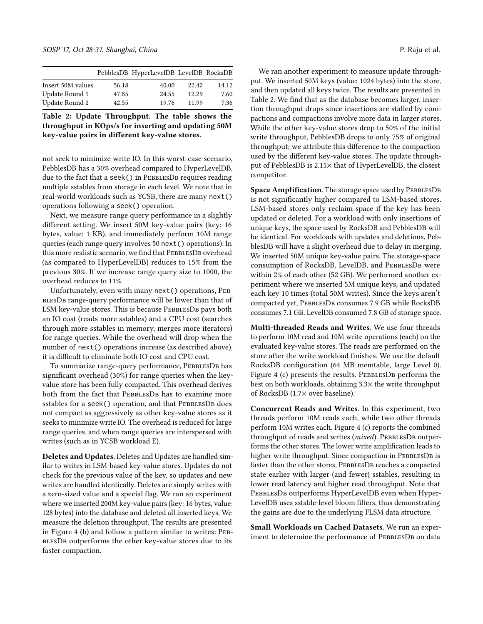<span id="page-11-0"></span>

|                   |       | PebblesDB HyperLevelDB LevelDB RocksDB |       |       |
|-------------------|-------|----------------------------------------|-------|-------|
| Insert 50M values | 56.18 | 40.00                                  | 22.42 | 14.12 |
| Update Round 1    | 47.85 | 24.55                                  | 12.29 | 7.60  |
| Update Round 2    | 42.55 | 19.76                                  | 11.99 | 7.36  |

Table 2: Update Throughput. The table shows the throughput in KOps/s for inserting and updating 50M key-value pairs in different key-value stores.

not seek to minimize write IO. In this worst-case scenario, PebblesDB has a 30% overhead compared to HyperLevelDB, due to the fact that a seek() in PEBBLESDB requires reading multiple sstables from storage in each level. We note that in real-world workloads such as YCSB, there are many next() operations following a seek() operation.

Next, we measure range query performance in a slightly different setting. We insert 50M key-value pairs (key: 16 bytes, value: 1 KB), and immediately perform 10M range queries (each range query involves 50 next() operations). In this more realistic scenario, we find that PEBBLESDB overhead (as compared to HyperLevelDB) reduces to 15% from the previous 30%. If we increase range query size to 1000, the overhead reduces to 11%.

Unfortunately, even with many next() operations, PebblesDb range-query performance will be lower than that of LSM key-value stores. This is because PEBBLESDB pays both an IO cost (reads more sstables) and a CPU cost (searches through more sstables in memory, merges more iterators) for range queries. While the overhead will drop when the number of next() operations increase (as described above), it is difficult to eliminate both IO cost and CPU cost.

To summarize range-query performance, PEBBLESDB has significant overhead (30%) for range queries when the keyvalue store has been fully compacted. This overhead derives both from the fact that PEBBLESDB has to examine more sstables for a seek() operation, and that PEBBLESDB does not compact as aggressively as other key-value stores as it seeks to minimize write IO. The overhead is reduced for large range queries, and when range queries are interspersed with writes (such as in YCSB workload E).

Deletes and Updates. Deletes and Updates are handled similar to writes in LSM-based key-value stores. Updates do not check for the previous value of the key, so updates and new writes are handled identically. Deletes are simply writes with a zero-sized value and a special flag. We ran an experiment where we inserted 200M key-value pairs (key: 16 bytes, value: 128 bytes) into the database and deleted all inserted keys. We measure the deletion throughput. The results are presented in Figure [4](#page-10-0) (b) and follow a pattern similar to writes: Peb-BLESDB outperforms the other key-value stores due to its faster compaction.

We ran another experiment to measure update throughput. We inserted 50M keys (value: 1024 bytes) into the store, and then updated all keys twice. The results are presented in Table [2.](#page-11-0) We find that as the database becomes larger, insertion throughput drops since insertions are stalled by compactions and compactions involve more data in larger stores. While the other key-value stores drop to 50% of the initial write throughput, PebblesDB drops to only 75% of original throughput; we attribute this difference to the compaction used by the different key-value stores. The update throughput of PebblesDB is 2.15× that of HyperLevelDB, the closest competitor.

Space Amplification. The storage space used by PEBBLESDB is not significantly higher compared to LSM-based stores. LSM-based stores only reclaim space if the key has been updated or deleted. For a workload with only insertions of unique keys, the space used by RocksDB and PebblesDB will be identical. For workloads with updates and deletions, PebblesDB will have a slight overhead due to delay in merging. We inserted 50M unique key-value pairs. The storage-space consumption of RocksDB, LevelDB, and PEBBLESDB were within 2% of each other (52 GB). We performed another experiment where we inserted 5M unique keys, and updated each key 10 times (total 50M writes). Since the keys aren't compacted yet, PEBBLESDB consumes 7.9 GB while RocksDB consumes 7.1 GB. LevelDB consumed 7.8 GB of storage space.

Multi-threaded Reads and Writes. We use four threads to perform 10M read and 10M write operations (each) on the evaluated key-value stores. The reads are performed on the store after the write workload finishes. We use the default RocksDB configuration (64 MB memtable, large Level 0). Figure [4](#page-10-0) (c) presents the results. PEBBLESDB performs the best on both workloads, obtaining 3.3× the write throughput of RocksDB (1.7× over baseline).

Concurrent Reads and Writes. In this experiment, two threads perform 10M reads each, while two other threads perform 10M writes each. Figure [4](#page-10-0) (c) reports the combined throughput of reads and writes (mixed). PEBBLESDB outperforms the other stores. The lower write amplification leads to higher write throughput. Since compaction in PEBBLESDB is faster than the other stores, PEBBLESDB reaches a compacted state earlier with larger (and fewer) sstables, resulting in lower read latency and higher read throughput. Note that PEBBLESDB outperforms HyperLevelDB even when Hyper-LevelDB uses sstable-level bloom filters, thus demonstrating the gains are due to the underlying FLSM data structure.

Small Workloads on Cached Datasets. We run an experiment to determine the performance of PEBBLESDB on data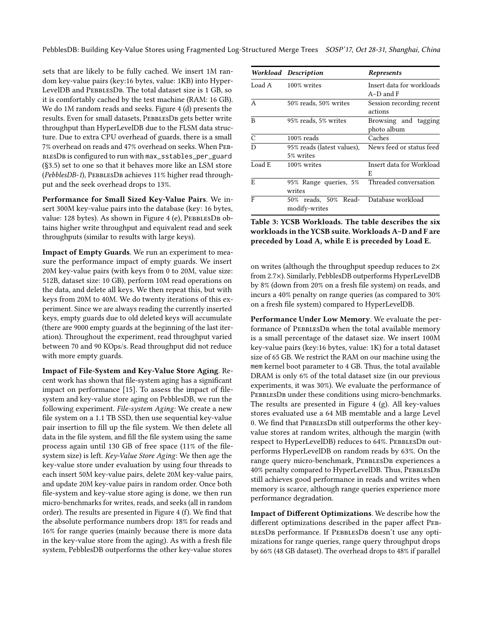sets that are likely to be fully cached. We insert 1M random key-value pairs (key:16 bytes, value: 1KB) into Hyper-LevelDB and PEBBLESDB. The total dataset size is 1 GB, so it is comfortably cached by the test machine (RAM: 16 GB). We do 1M random reads and seeks. Figure [4](#page-10-0) (d) presents the results. Even for small datasets, PEBBLESDB gets better write throughput than HyperLevelDB due to the FLSM data structure. Due to extra CPU overhead of guards, there is a small 7% overhead on reads and 47% overhead on seeks. When PebblesDb is configured to run with max\_sstables\_per\_guard [\(§3.5\)](#page-5-1) set to one so that it behaves more like an LSM store (PebblesDB-1), PebblesDb achieves 11% higher read throughput and the seek overhead drops to 13%.

Performance for Small Sized Key-Value Pairs. We insert 300M key-value pairs into the database (key: 16 bytes, value: 128 bytes). As shown in Figure [4](#page-10-0) (e), PEBBLESDB obtains higher write throughput and equivalent read and seek throughputs (similar to results with large keys).

Impact of Empty Guards. We run an experiment to measure the performance impact of empty guards. We insert 20M key-value pairs (with keys from 0 to 20M, value size: 512B, dataset size: 10 GB), perform 10M read operations on the data, and delete all keys. We then repeat this, but with keys from 20M to 40M. We do twenty iterations of this experiment. Since we are always reading the currently inserted keys, empty guards due to old deleted keys will accumulate (there are 9000 empty guards at the beginning of the last iteration). Throughout the experiment, read throughput varied between 70 and 90 KOps/s. Read throughput did not reduce with more empty guards.

Impact of File-System and Key-Value Store Aging. Recent work has shown that file-system aging has a significant impact on performance [\[15\]](#page-16-33). To assess the impact of filesystem and key-value store aging on PebblesDB, we run the following experiment. File-system Aging: We create a new file system on a 1.1 TB SSD, then use sequential key-value pair insertion to fill up the file system. We then delete all data in the file system, and fill the file system using the same process again until 130 GB of free space (11% of the filesystem size) is left. Key-Value Store Aging: We then age the key-value store under evaluation by using four threads to each insert 50M key-value pairs, delete 20M key-value pairs, and update 20M key-value pairs in random order. Once both file-system and key-value store aging is done, we then run micro-benchmarks for writes, reads, and seeks (all in random order). The results are presented in Figure [4](#page-10-0) (f). We find that the absolute performance numbers drop: 18% for reads and 16% for range queries (mainly because there is more data in the key-value store from the aging). As with a fresh file system, PebblesDB outperforms the other key-value stores

<span id="page-12-0"></span>

|               | Workload Description                    | Represents                                 |  |
|---------------|-----------------------------------------|--------------------------------------------|--|
| Load A        | 100% writes                             | Insert data for workloads<br>$A-D$ and $F$ |  |
| A             | 50% reads, 50% writes                   | Session recording recent<br>actions        |  |
| B             | 95% reads, 5% writes                    | Browsing and tagging<br>photo album        |  |
| $\mathcal{C}$ | $100\%$ reads                           | Caches                                     |  |
| D             | 95% reads (latest values),<br>5% writes | News feed or status feed                   |  |
| Load E        | 100% writes                             | Insert data for Workload<br>E.             |  |
| E.            | 95% Range queries, 5%<br>writes         | Threaded conversation                      |  |
| F             | 50% reads, 50% Read-<br>modify-writes   | Database workload                          |  |

Table 3: YCSB Workloads. The table describes the six workloads in the YCSB suite. Workloads A–D and F are preceded by Load A, while E is preceded by Load E.

on writes (although the throughput speedup reduces to 2× from 2.7×). Similarly, PebblesDB outperforms HyperLevelDB by 8% (down from 20% on a fresh file system) on reads, and incurs a 40% penalty on range queries (as compared to 30% on a fresh file system) compared to HyperLevelDB.

Performance Under Low Memory. We evaluate the performance of PEBBLESDB when the total available memory is a small percentage of the dataset size. We insert 100M key-value pairs (key:16 bytes, value: 1K) for a total dataset size of 65 GB. We restrict the RAM on our machine using the mem kernel boot parameter to 4 GB. Thus, the total available DRAM is only 6% of the total dataset size (in our previous experiments, it was 30%). We evaluate the performance of PEBBLESDB under these conditions using micro-benchmarks. The results are presented in Figure [4](#page-10-0) (g). All key-values stores evaluated use a 64 MB memtable and a large Level 0. We find that PEBBLESDB still outperforms the other keyvalue stores at random writes, although the margin (with respect to HyperLevelDB) reduces to 64%. PEBBLESDB outperforms HyperLevelDB on random reads by 63%. On the range query micro-benchmark, PEBBLESDB experiences a 40% penalty compared to HyperLevelDB. Thus, PEBBLESDB still achieves good performance in reads and writes when memory is scarce, although range queries experience more performance degradation.

Impact of Different Optimizations. We describe how the different optimizations described in the paper affect PebblesDb performance. If PebblesDb doesn't use any optimizations for range queries, range query throughput drops by 66% (48 GB dataset). The overhead drops to 48% if parallel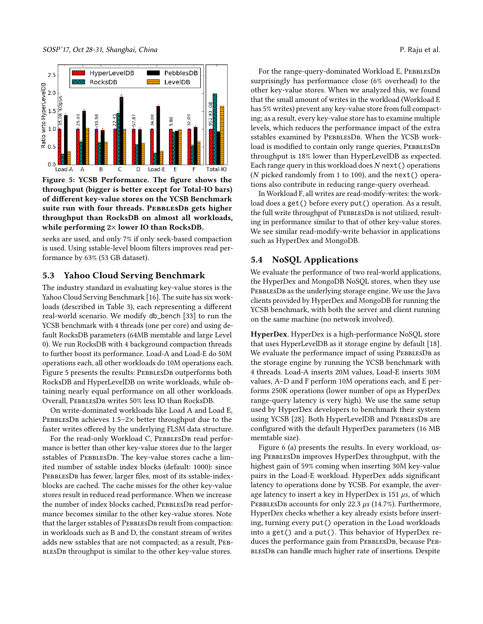<span id="page-13-2"></span>

Figure 5: YCSB Performance. The figure shows the throughput (bigger is better except for Total-IO bars) of different key-value stores on the YCSB Benchmark suite run with four threads. PEBBLESDB gets higher throughput than RocksDB on almost all workloads, while performing  $2\times$  lower IO than RocksDB.

seeks are used, and only 7% if only seek-based compaction is used. Using sstable-level bloom filters improves read performance by 63% (53 GB dataset).

#### <span id="page-13-0"></span>5.3 Yahoo Cloud Serving Benchmark

The industry standard in evaluating key-value stores is the Yahoo Cloud Serving Benchmark [\[16\]](#page-16-21). The suite has six workloads (described in Table [3\)](#page-12-0), each representing a different real-world scenario. We modify db\_bench [\[33\]](#page-16-32) to run the YCSB benchmark with 4 threads (one per core) and using default RocksDB parameters (64MB memtable and large Level 0). We run RocksDB with 4 background compaction threads to further boost its performance. Load-A and Load-E do 50M operations each, all other workloads do 10M operations each. Figure [5](#page-13-2) presents the results: PEBBLESDB outperforms both RocksDB and HyperLevelDB on write workloads, while obtaining nearly equal performance on all other workloads. Overall, PebblesDb writes 50% less IO than RocksDB.

On write-dominated workloads like Load A and Load E, PEBBLESDB achieves  $1.5-2\times$  better throughput due to the faster writes offered by the underlying FLSM data structure.

For the read-only Workload C, PEBBLESDB read performance is better than other key-value stores due to the larger sstables of PEBBLESDB. The key-value stores cache a limited number of sstable index blocks (default: 1000): since PEBBLESDB has fewer, larger files, most of its sstable-indexblocks are cached. The cache misses for the other key-value stores result in reduced read performance. When we increase the number of index blocks cached, PEBBLESDB read performance becomes similar to the other key-value stores. Note that the larger sstables of PEBBLESDB result from compaction: in workloads such as B and D, the constant stream of writes adds new sstables that are not compacted; as a result, Peb-BLESDB throughput is similar to the other key-value stores.

For the range-query-dominated Workload E, PEBBLESDB surprisingly has performance close (6% overhead) to the other key-value stores. When we analyzed this, we found that the small amount of writes in the workload (Workload E has 5% writes) prevent any key-value store from full compacting; as a result, every key-value store has to examine multiple levels, which reduces the performance impact of the extra sstables examined by PEBBLESDB. When the YCSB workload is modified to contain only range queries, PEBBLESDB throughput is 18% lower than HyperLevelDB as expected. Each range query in this workload does  $N$  next() operations (N picked randomly from 1 to 100), and the next() operations also contribute in reducing range-query overhead.

In Workload F, all writes are read-modify-writes: the workload does a get() before every put() operation. As a result, the full write throughput of PEBBLESDB is not utilized, resulting in performance similar to that of other key-value stores. We see similar read-modify-write behavior in applications such as HyperDex and MongoDB.

# <span id="page-13-1"></span>5.4 NoSQL Applications

We evaluate the performance of two real-world applications, the HyperDex and MongoDB NoSQL stores, when they use PEBBLESDB as the underlying storage engine. We use the Java clients provided by HyperDex and MongoDB for running the YCSB benchmark, with both the server and client running on the same machine (no network involved).

HyperDex. HyperDex is a high-performance NoSQL store that uses HyperLevelDB as it storage engine by default [\[18\]](#page-16-5). We evaluate the performance impact of using PEBBLESDB as the storage engine by running the YCSB benchmark with 4 threads. Load-A inserts 20M values, Load-E inserts 30M values, A–D and F perform 10M operations each, and E performs 250K operations (lower number of ops as HyperDex range-query latency is very high). We use the same setup used by HyperDex developers to benchmark their system using YCSB [\[28\]](#page-16-34). Both HyperLevelDB and PEBBLESDB are configured with the default HyperDex parameters (16 MB memtable size).

Figure [6](#page-14-1) (a) presents the results. In every workload, using PEBBLESDB improves HyperDex throughput, with the highest gain of 59% coming when inserting 30M key-value pairs in the Load-E workload. HyperDex adds significant latency to operations done by YCSB. For example, the average latency to insert a key in HyperDex is 151  $\mu$ s, of which PEBBLESDB accounts for only 22.3  $\mu$ s (14.7%). Furthermore, HyperDex checks whether a key already exists before inserting, turning every put() operation in the Load workloads into a get() and a put(). This behavior of HyperDex reduces the performance gain from PEBBLESDB, because PEBblesDb can handle much higher rate of insertions. Despite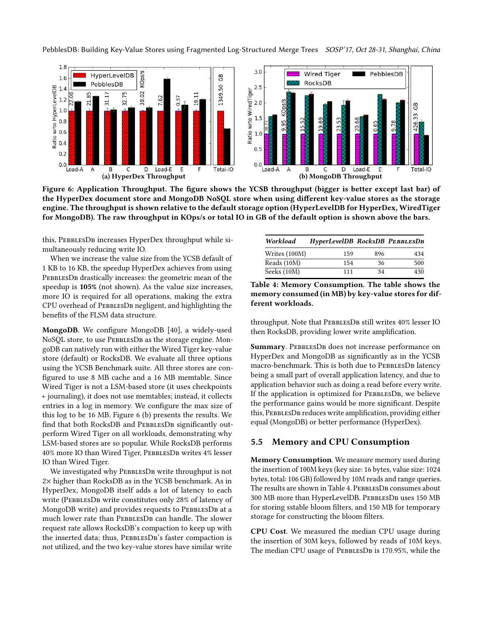<span id="page-14-1"></span>

Figure 6: Application Throughput. The figure shows the YCSB throughput (bigger is better except last bar) of the HyperDex document store and MongoDB NoSQL store when using different key-value stores as the storage engine. The throughput is shown relative to the default storage option (HyperLevelDB for HyperDex, WiredTiger for MongoDB). The raw throughput in KOps/s or total IO in GB of the default option is shown above the bars.

this, PEBBLESDB increases HyperDex throughput while simultaneously reducing write IO.

When we increase the value size from the YCSB default of 1 KB to 16 KB, the speedup HyperDex achieves from using PEBBLESDB drastically increases: the geometric mean of the speedup is 105% (not shown). As the value size increases, more IO is required for all operations, making the extra CPU overhead of PEBBLESDB negligent, and highlighting the benefits of the FLSM data structure.

MongoDB. We configure MongoDB [\[40\]](#page-16-6), a widely-used NoSQL store, to use PEBBLESDB as the storage engine. MongoDB can natively run with either the Wired Tiger key-value store (default) or RocksDB. We evaluate all three options using the YCSB Benchmark suite. All three stores are configured to use 8 MB cache and a 16 MB memtable. Since Wired Tiger is not a LSM-based store (it uses checkpoints + journaling), it does not use memtables; instead, it collects entries in a log in memory. We configure the max size of this log to be 16 MB. Figure [6](#page-14-1) (b) presents the results. We find that both RocksDB and PEBBLESDB significantly outperform Wired Tiger on all workloads, demonstrating why LSM-based stores are so popular. While RocksDB performs 40% more IO than Wired Tiger, PEBBLESDB writes 4% lesser IO than Wired Tiger.

We investigated why PEBBLESDB write throughput is not 2× higher than RocksDB as in the YCSB benchmark. As in HyperDex, MongoDB itself adds a lot of latency to each write (PEBBLESDB write constitutes only 28% of latency of MongoDB write) and provides requests to PEBBLESDB at a much lower rate than PEBBLESDB can handle. The slower request rate allows RocksDB's compaction to keep up with the inserted data; thus, PEBBLESDB's faster compaction is not utilized, and the two key-value stores have similar write

<span id="page-14-2"></span>

| Workload      | HyperLevelDB RocksDB PEBBLESDB |     |     |
|---------------|--------------------------------|-----|-----|
| Writes (100M) | 159                            | 896 | 434 |
| Reads (10M)   | 154                            | 36  | 500 |
| Seeks (10M)   | 111                            | 34  | 430 |

Table 4: Memory Consumption. The table shows the memory consumed (in MB) by key-value stores for different workloads.

throughput. Note that PEBBLESDB still writes 40% lesser IO then RocksDB, providing lower write amplification.

Summary. PEBBLESDB does not increase performance on HyperDex and MongoDB as significantly as in the YCSB macro-benchmark. This is both due to PEBBLESDB latency being a small part of overall application latency, and due to application behavior such as doing a read before every write. If the application is optimized for PEBBLESDB, we believe the performance gains would be more significant. Despite this, PEBBLESDB reduces write amplification, providing either equal (MongoDB) or better performance (HyperDex).

# <span id="page-14-0"></span>5.5 Memory and CPU Consumption

Memory Consumption. We measure memory used during the insertion of 100M keys (key size: 16 bytes, value size: 1024 bytes, total: 106 GB) followed by 10M reads and range queries. The results are shown in Table [4.](#page-14-2) PEBBLESDB consumes about 300 MB more than HyperLevelDB. PEBBLESDB uses 150 MB for storing sstable bloom filters, and 150 MB for temporary storage for constructing the bloom filters.

CPU Cost. We measured the median CPU usage during the insertion of 30M keys, followed by reads of 10M keys. The median CPU usage of PEBBLESDB is 170.95%, while the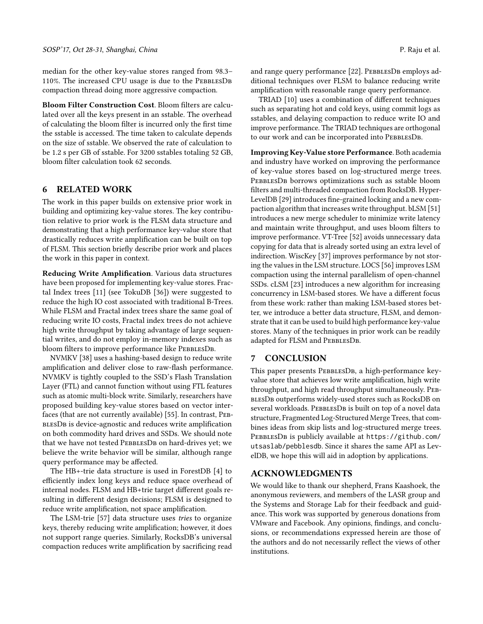median for the other key-value stores ranged from 98.3– 110%. The increased CPU usage is due to the PEBBLESDB compaction thread doing more aggressive compaction.

Bloom Filter Construction Cost. Bloom filters are calculated over all the keys present in an sstable. The overhead of calculating the bloom filter is incurred only the first time the sstable is accessed. The time taken to calculate depends on the size of sstable. We observed the rate of calculation to be 1.2 s per GB of sstable. For 3200 sstables totaling 52 GB, bloom filter calculation took 62 seconds.

#### 6 RELATED WORK

The work in this paper builds on extensive prior work in building and optimizing key-value stores. The key contribution relative to prior work is the FLSM data structure and demonstrating that a high performance key-value store that drastically reduces write amplification can be built on top of FLSM. This section briefly describe prior work and places the work in this paper in context.

Reducing Write Amplification. Various data structures have been proposed for implementing key-value stores. Fractal Index trees [\[11\]](#page-16-35) (see TokuDB [\[36\]](#page-16-36)) were suggested to reduce the high IO cost associated with traditional B-Trees. While FLSM and Fractal index trees share the same goal of reducing write IO costs, Fractal index trees do not achieve high write throughput by taking advantage of large sequential writes, and do not employ in-memory indexes such as bloom filters to improve performance like PEBBLESDB.

NVMKV [\[38\]](#page-16-17) uses a hashing-based design to reduce write amplification and deliver close to raw-flash performance. NVMKV is tightly coupled to the SSD's Flash Translation Layer (FTL) and cannot function without using FTL features such as atomic multi-block write. Similarly, researchers have proposed building key-value stores based on vector interfaces (that are not currently available) [\[55\]](#page-17-8). In contrast, PebblesDb is device-agnostic and reduces write amplification on both commodity hard drives and SSDs. We should note that we have not tested PEBBLESDB on hard-drives yet; we believe the write behavior will be similar, although range query performance may be affected.

The HB+-trie data structure is used in ForestDB [\[4\]](#page-16-37) to efficiently index long keys and reduce space overhead of internal nodes. FLSM and HB+trie target different goals resulting in different design decisions; FLSM is designed to reduce write amplification, not space amplification.

The LSM-trie [\[57\]](#page-17-9) data structure uses tries to organize keys, thereby reducing write amplification; however, it does not support range queries. Similarly, RocksDB's universal compaction reduces write amplification by sacrificing read and range query performance [\[22\]](#page-16-25). PEBBLESDB employs additional techniques over FLSM to balance reducing write amplification with reasonable range query performance.

TRIAD [\[10\]](#page-16-38) uses a combination of different techniques such as separating hot and cold keys, using commit logs as sstables, and delaying compaction to reduce write IO and improve performance. The TRIAD techniques are orthogonal to our work and can be incorporated into PEBBLESDB.

Improving Key-Value store Performance. Both academia and industry have worked on improving the performance of key-value stores based on log-structured merge trees. PEBBLESDB borrows optimizations such as sstable bloom filters and multi-threaded compaction from RocksDB. Hyper-LevelDB [\[29\]](#page-16-20) introduces fine-grained locking and a new compaction algorithm that increases write throughput. bLSM [\[51\]](#page-17-15) introduces a new merge scheduler to minimize write latency and maintain write throughput, and uses bloom filters to improve performance. VT-Tree [\[52\]](#page-17-16) avoids unnecessary data copying for data that is already sorted using an extra level of indirection. WiscKey [\[37\]](#page-16-39) improves performance by not storing the values in the LSM structure. LOCS [\[56\]](#page-17-17) improves LSM compaction using the internal parallelism of open-channel SSDs. cLSM [\[23\]](#page-16-40) introduces a new algorithm for increasing concurrency in LSM-based stores. We have a different focus from these work: rather than making LSM-based stores better, we introduce a better data structure, FLSM, and demonstrate that it can be used to build high performance key-value stores. Many of the techniques in prior work can be readily adapted for FLSM and PEBBLESDB.

# 7 CONCLUSION

This paper presents PEBBLESDB, a high-performance keyvalue store that achieves low write amplification, high write throughput, and high read throughput simultaneously. PebblesDb outperforms widely-used stores such as RocksDB on several workloads. PEBBLESDB is built on top of a novel data structure, Fragmented Log-Structured Merge Trees, that combines ideas from skip lists and log-structured merge trees. PEBBLESDB is publicly available at [https://github.com/](https://github.com/utsaslab/pebblesdb) [utsaslab/pebblesdb](https://github.com/utsaslab/pebblesdb). Since it shares the same API as LevelDB, we hope this will aid in adoption by applications.

# ACKNOWLEDGMENTS

We would like to thank our shepherd, Frans Kaashoek, the anonymous reviewers, and members of the LASR group and the Systems and Storage Lab for their feedback and guidance. This work was supported by generous donations from VMware and Facebook. Any opinions, findings, and conclusions, or recommendations expressed herein are those of the authors and do not necessarily reflect the views of other institutions.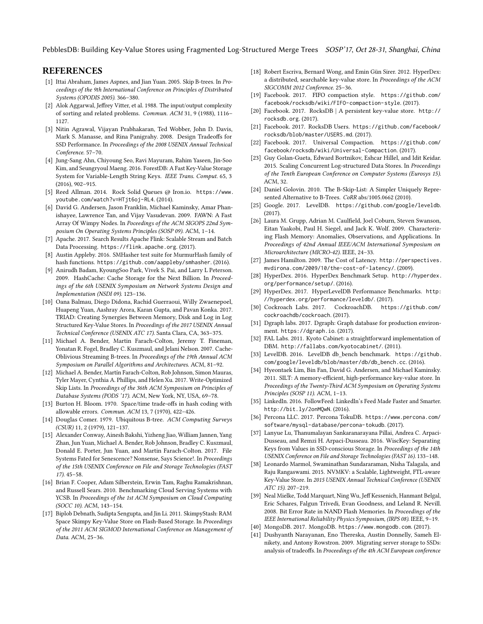# **REFERENCES**

- <span id="page-16-27"></span>[1] Ittai Abraham, James Aspnes, and Jian Yuan. 2005. Skip B-trees. In Proceedings of the 9th International Conference on Principles of Distributed Systems (OPODIS 2005). 366–380.
- <span id="page-16-26"></span>[2] Alok Aggarwal, Jeffrey Vitter, et al. 1988. The input/output complexity of sorting and related problems. Commun. ACM 31, 9 (1988), 1116– 1127.
- <span id="page-16-12"></span>[3] Nitin Agrawal, Vijayan Prabhakaran, Ted Wobber, John D. Davis, Mark S. Manasse, and Rina Panigrahy. 2008. Design Tradeoffs for SSD Performance. In Proceedings of the 2008 USENIX Annual Technical Conference. 57–70.
- <span id="page-16-37"></span>[4] Jung-Sang Ahn, Chiyoung Seo, Ravi Mayuram, Rahim Yaseen, Jin-Soo Kim, and Seungryoul Maeng. 2016. ForestDB: A Fast Key-Value Storage System for Variable-Length String Keys. IEEE Trans. Comput. 65, 3 (2016), 902–915.
- <span id="page-16-2"></span>[5] Reed Allman. 2014. Rock Solid Queues @ Iron.io. [https://www.](https://www.youtube.com/watch?v=HTjt6oj-RL4) [youtube.com/watch?v=HTjt6oj-RL4](https://www.youtube.com/watch?v=HTjt6oj-RL4). (2014).
- <span id="page-16-11"></span>[6] David G. Andersen, Jason Franklin, Michael Kaminsky, Amar Phanishayee, Lawrence Tan, and Vijay Vasudevan. 2009. FAWN: A Fast Array Of Wimpy Nodes. In Poceedings of the ACM SIGOPS 22nd Symposium On Operating Systems Principles (SOSP 09). ACM, 1–14.
- <span id="page-16-3"></span>[7] Apache. 2017. Search Results Apache Flink: Scalable Stream and Batch Data Processing. <https://flink.apache.org>. (2017).
- <span id="page-16-31"></span>[8] Austin Appleby. 2016. SMHasher test suite for MurmurHash family of hash functions. <https://github.com/aappleby/smhasher>. (2016).
- <span id="page-16-8"></span>[9] Anirudh Badam, KyoungSoo Park, Vivek S. Pai, and Larry L Peterson. 2009. HashCache: Cache Storage for the Next Billion. In Proceedings of the 6th USENIX Symposium on Network Systems Design and Implementation (NSDI 09). 123–136.
- <span id="page-16-38"></span>[10] Oana Balmau, Diego Didona, Rachid Guerraoui, Willy Zwaenepoel, Huapeng Yuan, Aashray Arora, Karan Gupta, and Pavan Konka. 2017. TRIAD: Creating Synergies Between Memory, Disk and Log in Log Structured Key-Value Stores. In Proceedings of the 2017 USENIX Annual Technical Conference (USENIX ATC 17). Santa Clara, CA, 363–375.
- <span id="page-16-35"></span>[11] Michael A. Bender, Martin Farach-Colton, Jeremy T. Fineman, Yonatan R. Fogel, Bradley C. Kuszmaul, and Jelani Nelson. 2007. Cache-Oblivious Streaming B-trees. In Proceedings of the 19th Annual ACM Symposium on Parallel Algorithms and Architectures. ACM, 81–92.
- <span id="page-16-28"></span>[12] Michael A. Bender, Martín Farach-Colton, Rob Johnson, Simon Mauras, Tyler Mayer, Cynthia A. Phillips, and Helen Xu. 2017. Write-Optimized Skip Lists. In Proceedings of the 36th ACM Symposium on Principles of Database Systems (PODS '17). ACM, New York, NY, USA, 69–78.
- <span id="page-16-30"></span>[13] Burton H. Bloom. 1970. Space/time trade-offs in hash coding with allowable errors. Commun. ACM 13, 7 (1970), 422–426.
- <span id="page-16-23"></span>[14] Douglas Comer. 1979. Ubiquitous B-tree. ACM Computing Surveys (CSUR) 11, 2 (1979), 121–137.
- <span id="page-16-33"></span>[15] Alexander Conway, Ainesh Bakshi, Yizheng Jiao, William Jannen, Yang Zhan, Jun Yuan, Michael A. Bender, Rob Johnson, Bradley C. Kuszmaul, Donald E. Porter, Jun Yuan, and Martin Farach-Colton. 2017. File Systems Fated for Senescence? Nonsense, Says Science!. In Proceedings of the 15th USENIX Conference on File and Storage Technologies (FAST 17). 45–58.
- <span id="page-16-21"></span>[16] Brian F. Cooper, Adam Silberstein, Erwin Tam, Raghu Ramakrishnan, and Russell Sears. 2010. Benchmarking Cloud Serving Systems with YCSB. In Proceedings of the 1st ACM Symposium on Cloud Computing (SOCC 10). ACM, 143–154.
- <span id="page-16-9"></span>[17] Biplob Debnath, Sudipta Sengupta, and Jin Li. 2011. SkimpyStash: RAM Space Skimpy Key-Value Store on Flash-Based Storage. In Proceedings of the 2011 ACM SIGMOD International Conference on Management of Data. ACM, 25–36.
- <span id="page-16-5"></span>[18] Robert Escriva, Bernard Wong, and Emin Gün Sirer. 2012. HyperDex: a distributed, searchable key-value store. In Proceedings of the ACM SIGCOMM 2012 Conference. 25–36.
- <span id="page-16-24"></span>[19] Facebook. 2017. FIFO compaction style. [https://github.com/](https://github.com/facebook/rocksdb/wiki/FIFO-compaction-style) [facebook/rocksdb/wiki/FIFO-compaction-style](https://github.com/facebook/rocksdb/wiki/FIFO-compaction-style). (2017).
- <span id="page-16-16"></span>[20] Facebook. 2017. RocksDB | A persistent key-value store. [http://](http://rocksdb.org) [rocksdb.org](http://rocksdb.org). (2017).
- <span id="page-16-0"></span>[21] Facebook. 2017. RocksDB Users. [https://github.com/facebook/](https://github.com/facebook/rocksdb/blob/master/USERS.md) [rocksdb/blob/master/USERS.md](https://github.com/facebook/rocksdb/blob/master/USERS.md). (2017).
- <span id="page-16-25"></span>[22] Facebook. 2017. Universal Compaction. [https://github.com/](https://github.com/facebook/rocksdb/wiki/Universal-Compaction) [facebook/rocksdb/wiki/Universal-Compaction](https://github.com/facebook/rocksdb/wiki/Universal-Compaction). (2017).
- <span id="page-16-40"></span>[23] Guy Golan-Gueta, Edward Bortnikov, Eshcar Hillel, and Idit Keidar. 2015. Scaling Concurrent Log-structured Data Stores. In Proceedings of the Tenth European Conference on Computer Systems (Eurosys 15). ACM, 32.
- <span id="page-16-29"></span>[24] Daniel Golovin. 2010. The B-Skip-List: A Simpler Uniquely Represented Alternative to B-Trees. CoRR abs/1005.0662 (2010).
- <span id="page-16-19"></span>[25] Google. 2017. LevelDB. <https://github.com/google/leveldb>. (2017).
- <span id="page-16-13"></span>[26] Laura M. Grupp, Adrian M. Caulfield, Joel Coburn, Steven Swanson, Eitan Yaakobi, Paul H. Siegel, and Jack K. Wolf. 2009. Characterizing Flash Memory: Anomalies, Observations, and Applications. In Proceedings of 42nd Annual IEEE/ACM International Symposium on Microarchitecture (MICRO-42). IEEE, 24–33.
- <span id="page-16-18"></span>[27] James Hamilton. 2009. The Cost of Latency. [http://perspectives.](http://perspectives.mvdirona.com/2009/10/the-cost-of-latency/) [mvdirona.com/2009/10/the-cost-of-latency/](http://perspectives.mvdirona.com/2009/10/the-cost-of-latency/). (2009).
- <span id="page-16-34"></span>[28] HyperDex. 2016. HyperDex Benchmark Setup. [http://hyperdex.](http://hyperdex.org/performance/setup/) [org/performance/setup/](http://hyperdex.org/performance/setup/). (2016).
- <span id="page-16-20"></span>[29] HyperDex. 2017. HyperLevelDB Performance Benchmarks. [http:](http://hyperdex.org/performance/leveldb/) [//hyperdex.org/performance/leveldb/](http://hyperdex.org/performance/leveldb/). (2017).
- <span id="page-16-7"></span>[30] Cockroach Labs. 2017. CockroachDB. [https://github.com/](https://github.com/cockroachdb/cockroach) [cockroachdb/cockroach](https://github.com/cockroachdb/cockroach). (2017).
- <span id="page-16-1"></span>[31] Dgraph labs. 2017. Dgraph: Graph database for production environment. <https://dgraph.io>. (2017).
- <span id="page-16-22"></span>[32] FAL Labs. 2011. Kyoto Cabinet: a straightforward implementation of DBM. <http://fallabs.com/kyotocabinet/>. (2011).
- <span id="page-16-32"></span>[33] LevelDB. 2016. LevelDB db\_bench benchmark. [https://github.](https://github.com/google/leveldb/blob/master/db/db_bench.cc) [com/google/leveldb/blob/master/db/db\\_bench.cc](https://github.com/google/leveldb/blob/master/db/db_bench.cc). (2016).
- <span id="page-16-10"></span>[34] Hyeontaek Lim, Bin Fan, David G. Andersen, and Michael Kaminsky. 2011. SILT: A memory-efficient, high-performance key-value store. In Proceedings of the Twenty-Third ACM Symposium on Operating Systems Principles (SOSP 11). ACM, 1–13.
- <span id="page-16-4"></span>[35] LinkedIn. 2016. FollowFeed: LinkedIn's Feed Made Faster and Smarter. <http://bit.ly/2onMQwN>. (2016).
- <span id="page-16-36"></span>[36] Percona LLC. 2017. Percona TokuDB. [https://www.percona.com/](https://www.percona.com/software/mysql-database/percona-tokudb) [software/mysql-database/percona-tokudb](https://www.percona.com/software/mysql-database/percona-tokudb). (2017).
- <span id="page-16-39"></span>[37] Lanyue Lu, Thanumalayan Sankaranarayana Pillai, Andrea C. Arpaci-Dusseau, and Remzi H. Arpaci-Dusseau. 2016. WiscKey: Separating Keys from Values in SSD-conscious Storage. In Proceedings of the 14th USENIX Conference on File and Storage Technologies (FAST 16). 133–148.
- <span id="page-16-17"></span>[38] Leonardo Marmol, Swaminathan Sundararaman, Nisha Talagala, and Raju Rangaswami. 2015. NVMKV: a Scalable, Lightweight, FTL-aware Key-Value Store. In 2015 USENIX Annual Technical Conference (USENIX ATC 15). 207–219.
- <span id="page-16-14"></span>[39] Neal Mielke, Todd Marquart, Ning Wu, Jeff Kessenich, Hanmant Belgal, Eric Schares, Falgun Trivedi, Evan Goodness, and Leland R. Nevill. 2008. Bit Error Rate in NAND Flash Memories. In Proceedings of the IEEE International Reliability Physics Symposium, (IRPS 08). IEEE, 9–19.
- <span id="page-16-6"></span>[40] MongoDB. 2017. MongoDB. <https://www.mongodb.com>. (2017).
- <span id="page-16-15"></span>[41] Dushyanth Narayanan, Eno Thereska, Austin Donnelly, Sameh Elnikety, and Antony Rowstron. 2009. Migrating server storage to SSDs: analysis of tradeoffs. In Proceedings of the 4th ACM European conference